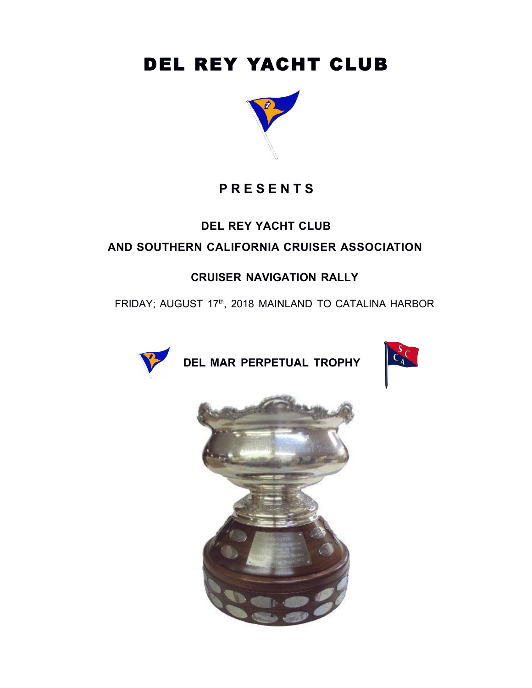# DEL REY YACHT CLUB



## **P R E S E N T S**

### **DEL REY YACHT CLUB**

### **AND SOUTHERN CALIFORNIA CRUISER ASSOCIATION**

### **CRUISER NAVIGATION RALLY**

FRIDAY; AUGUST 17th, 2018 MAINLAND TO CATALINA HARBOR



**DEL MAR PERPETUAL TROPHY**



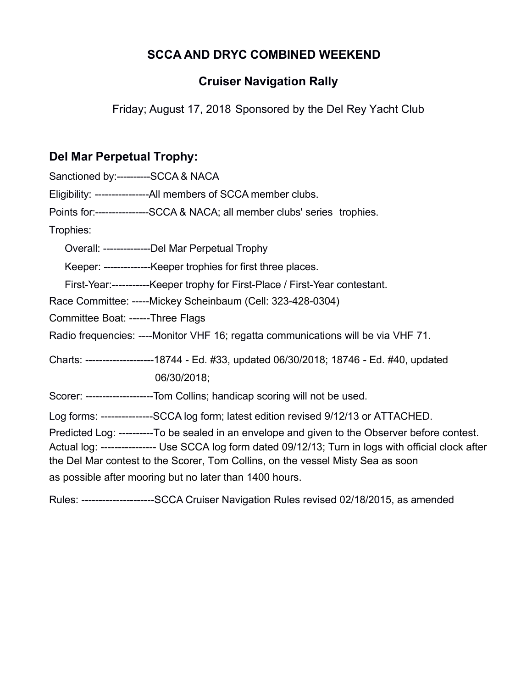### **SCCA AND DRYC COMBINED WEEKEND**

### **Cruiser Navigation Rally**

Friday; August 17, 2018 Sponsored by the Del Rey Yacht Club

### **Del Mar Perpetual Trophy:**

| Sanctioned by:----------SCCA & NACA |                                                                                                                                                                                                                                                                                            |
|-------------------------------------|--------------------------------------------------------------------------------------------------------------------------------------------------------------------------------------------------------------------------------------------------------------------------------------------|
|                                     | Eligibility: -----------------All members of SCCA member clubs.                                                                                                                                                                                                                            |
|                                     | Points for:----------------SCCA & NACA; all member clubs' series trophies.                                                                                                                                                                                                                 |
| Trophies:                           |                                                                                                                                                                                                                                                                                            |
|                                     | Overall: ---------------Del Mar Perpetual Trophy                                                                                                                                                                                                                                           |
|                                     | Keeper: --------------Keeper trophies for first three places.                                                                                                                                                                                                                              |
|                                     | First-Year:------------Keeper trophy for First-Place / First-Year contestant.                                                                                                                                                                                                              |
|                                     | Race Committee: -----Mickey Scheinbaum (Cell: 323-428-0304)                                                                                                                                                                                                                                |
| Committee Boat: ------Three Flags   |                                                                                                                                                                                                                                                                                            |
|                                     | Radio frequencies: ----Monitor VHF 16; regatta communications will be via VHF 71.                                                                                                                                                                                                          |
|                                     | Charts: --------------------18744 - Ed. #33, updated 06/30/2018; 18746 - Ed. #40, updated                                                                                                                                                                                                  |
|                                     | 06/30/2018;                                                                                                                                                                                                                                                                                |
|                                     | Scorer: --------------------Tom Collins; handicap scoring will not be used.                                                                                                                                                                                                                |
|                                     | Log forms: ---------------SCCA log form; latest edition revised 9/12/13 or ATTACHED.                                                                                                                                                                                                       |
|                                     | Predicted Log: ----------To be sealed in an envelope and given to the Observer before contest.<br>Actual log: ---------------- Use SCCA log form dated 09/12/13; Turn in logs with official clock after<br>the Del Mar contest to the Scorer, Tom Collins, on the vessel Misty Sea as soon |
|                                     | as possible after mooring but no later than 1400 hours.                                                                                                                                                                                                                                    |
|                                     |                                                                                                                                                                                                                                                                                            |

Rules: ---------------------SCCA Cruiser Navigation Rules revised 02/18/2015, as amended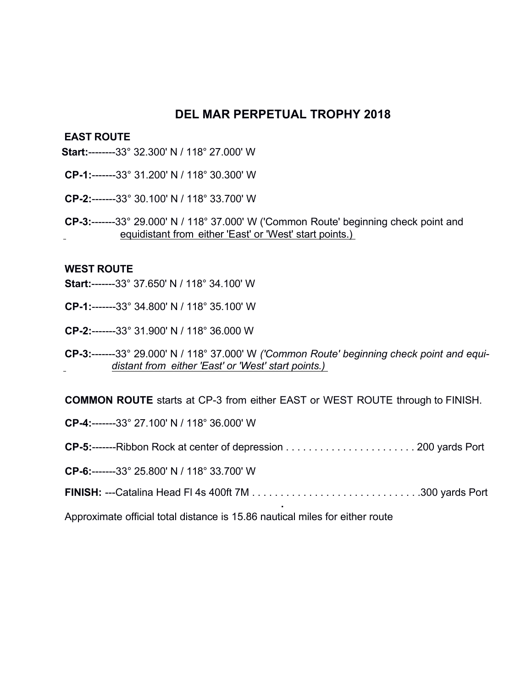#### **DEL MAR PERPETUAL TROPHY 2018**

#### **EAST ROUTE**

- **Start:**--------33° 32.300' N / 118° 27.000' W
- **CP-1:**-------33° 31.200' N / 118° 30.300' W
- **CP-2:**-------33° 30.100' N / 118° 33.700' W
- **CP-3:**-------33° 29.000' N / 118° 37.000' W ('Common Route' beginning check point and equidistant from either 'East' or 'West' start points.)

#### **WEST ROUTE**

- **Start:**-------33° 37.650' N / 118° 34.100' W
- **CP-1:**-------33° 34.800' N / 118° 35.100' W
- **CP-2:**-------33° 31.900' N / 118° 36.000 W
- **CP-3:**-------33° 29.000' N / 118° 37.000' W *('Common Route' beginning check point and equidistant from either 'East' or 'West' start points.)*

**COMMON ROUTE** starts at CP-3 from either EAST or WEST ROUTE through to FINISH.

**CP-4:**-------33° 27.100' N / 118° 36.000' W

- **CP-5:**-------Ribbon Rock at center of depression . . . . . . . . . . . . . . . . . . . . . . . 200 yards Port
- **CP-6:**-------33° 25.800' N / 118° 33.700' W
- **FINISH:** ---Catalina Head Fl 4s 400ft 7M . . . . . . . . . . . . . . . . . . . . . . . . . . . . . .300 yards Port

**.**

Approximate official total distance is 15.86 nautical miles for either route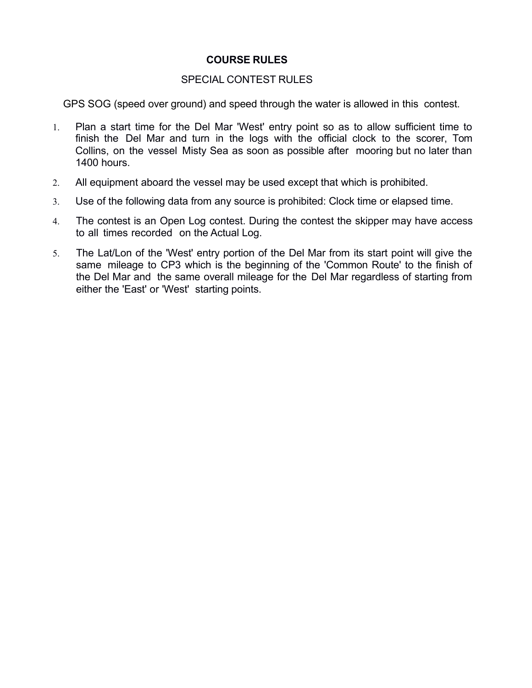#### **COURSE RULES**

#### SPECIAL CONTEST RULES

GPS SOG (speed over ground) and speed through the water is allowed in this contest.

- 1. Plan a start time for the Del Mar 'West' entry point so as to allow sufficient time to finish the Del Mar and turn in the logs with the official clock to the scorer, Tom Collins, on the vessel Misty Sea as soon as possible after mooring but no later than 1400 hours.
- 2. All equipment aboard the vessel may be used except that which is prohibited.
- 3. Use of the following data from any source is prohibited: Clock time or elapsed time.
- 4. The contest is an Open Log contest. During the contest the skipper may have access to all times recorded on the Actual Log.
- 5. The Lat/Lon of the 'West' entry portion of the Del Mar from its start point will give the same mileage to CP3 which is the beginning of the 'Common Route' to the finish of the Del Mar and the same overall mileage for the Del Mar regardless of starting from either the 'East' or 'West' starting points.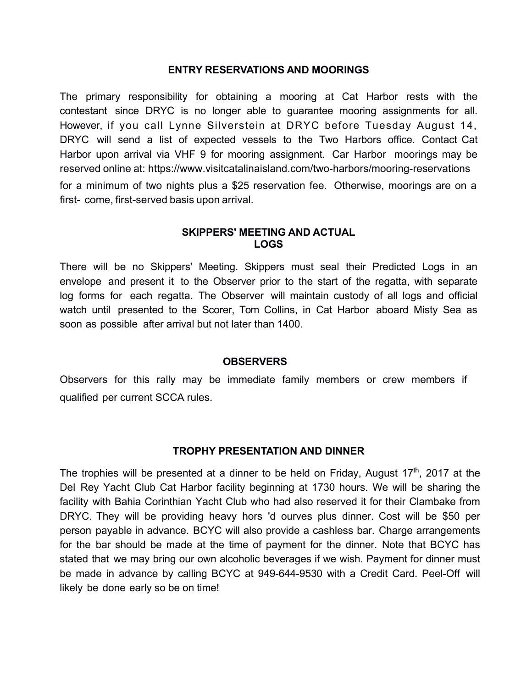#### **ENTRY RESERVATIONS AND MOORINGS**

The primary responsibility for obtaining a mooring at Cat Harbor rests with the contestant since DRYC is no longer able to guarantee mooring assignments for all. However, if you call Lynne Silverstein at DRYC before Tuesday August 14, DRYC will send a list of expected vessels to the Two Harbors office. Contact Cat Harbor upon arrival via VHF 9 for mooring assignment. Car Harbor moorings may be reserved online at: https://www.visitcatalinaisland.com/two-harbors/mooring-reservations for a minimum of two nights plus a \$25 reservation fee. Otherwise, moorings are on a first- come, first-served basis upon arrival.

#### **SKIPPERS' MEETING AND ACTUAL LOGS**

There will be no Skippers' Meeting. Skippers must seal their Predicted Logs in an envelope and present it to the Observer prior to the start of the regatta, with separate log forms for each regatta. The Observer will maintain custody of all logs and official watch until presented to the Scorer, Tom Collins, in Cat Harbor aboard Misty Sea as soon as possible after arrival but not later than 1400.

#### **OBSERVERS**

Observers for this rally may be immediate family members or crew members if qualified per current SCCA rules.

#### **TROPHY PRESENTATION AND DINNER**

The trophies will be presented at a dinner to be held on Friday, August  $17<sup>th</sup>$ , 2017 at the Del Rey Yacht Club Cat Harbor facility beginning at 1730 hours. We will be sharing the facility with Bahia Corinthian Yacht Club who had also reserved it for their Clambake from DRYC. They will be providing heavy hors 'd ourves plus dinner. Cost will be \$50 per person payable in advance. BCYC will also provide a cashless bar. Charge arrangements for the bar should be made at the time of payment for the dinner. Note that BCYC has stated that we may bring our own alcoholic beverages if we wish. Payment for dinner must be made in advance by calling BCYC at 949-644-9530 with a Credit Card. Peel-Off will likely be done early so be on time!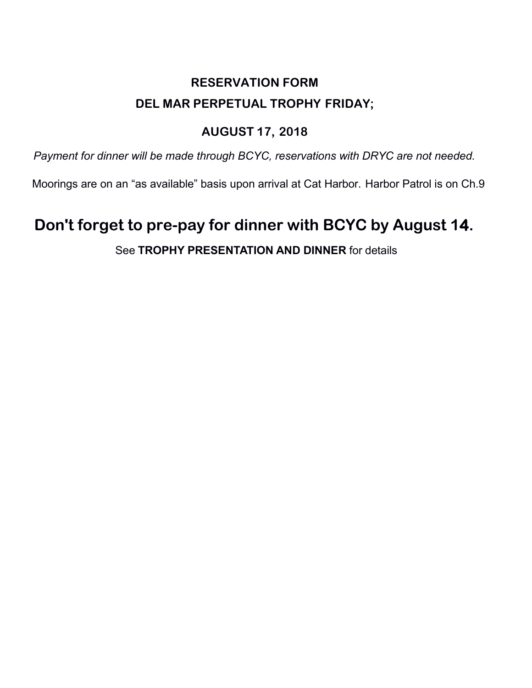# **RESERVATION FORM DEL MAR PERPETUAL TROPHY FRIDAY;**

### **AUGUST 17, 2018**

*Payment for dinner will be made through BCYC, reservations with DRYC are not needed.*

Moorings are on an "as available" basis upon arrival at Cat Harbor. Harbor Patrol is on Ch.9

# **Don't forget to pre-pay for dinner with BCYC by August 14.**

### See **TROPHY PRESENTATION AND DINNER** for details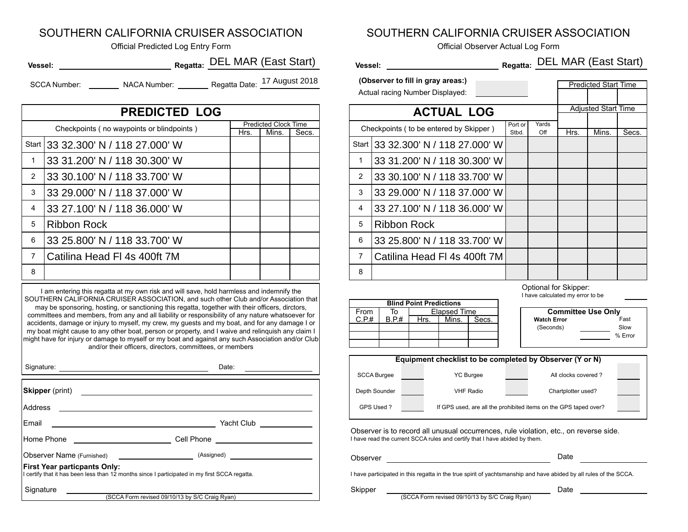#### SOUTHERN CALIFORNIA CRUISER ASSOCIATION

| Vessel:      |                     | Regatta: DEL MAR (East Start) | Vessel:                           | Regatta: |
|--------------|---------------------|-------------------------------|-----------------------------------|----------|
| SCCA Number: | <b>NACA Number:</b> | Regatta Date: 17 August 2018  | (Observer to fill in gray areas:) |          |

4 8 **Start** 1 2 3 5 6 **PREDICTED LOG** Predicted Clock Time Checkpoints ( no waypoints or blindpoints )<br>Hrs. | Mins. | Secs. 7 33 32.300' N / 118 27.000' W 33 31.200' N / 118 30.300' W 33 30.100' N / 118 33.700' W 33 29.000' N / 118 37.000' W 33 27.100' N / 118 36.000' W Ribbon Rock 33 25.800' N / 118 33.700' W

I am entering this regatta at my own risk and will save, hold harmless and indemnify the SOUTHERN CALIFORNIA CRUISER ASSOCIATION, and such other Club and/or Association that may be sponsoring, hosting, or sanctioning this regatta, together with their officers, dirctors, committees and members, from any and all liability or responsibility of any nature whatsoever for accidents, damage or injury to myself, my crew, my guests and my boat, and for any damage I or my boat might cause to any other boat, person or property, and I waive and relinquish any claim I might have for injury or damage to myself or my boat and against any such Association and/or Club and/or their officers, directors, committees, or members

| Signature:                                                                                                                           | Date:                                                                             |
|--------------------------------------------------------------------------------------------------------------------------------------|-----------------------------------------------------------------------------------|
| <b>Skipper</b> (print)                                                                                                               |                                                                                   |
| Address                                                                                                                              |                                                                                   |
| Email                                                                                                                                | Yacht Club ___________                                                            |
|                                                                                                                                      |                                                                                   |
|                                                                                                                                      | Observer Name (Furnished) ____________________________ (Assigned) _______________ |
| <b>First Year particpants Only:</b><br>I certify that it has been less than 12 months since I participated in my first SCCA regatta. |                                                                                   |
| Signature                                                                                                                            |                                                                                   |
|                                                                                                                                      | (SCCA Form revised 09/10/13 by S/C Craig Ryan)                                    |

#### SOUTHERN CALIFORNIA CRUISER ASSOCIATION

Official Predicted Log Entry Form Official Observer Actual Log Form

| <b>Predicted Start Time</b> |  |  |
|-----------------------------|--|--|
|                             |  |  |

| Regatta: DEL MAR (East Start)<br>el: $\qquad \qquad$                 |      |                                      |       |   | Regatta: DEL MAR (East Start)<br><b>Vessel: Wessel:</b> |                  |              |                             |                            |       |
|----------------------------------------------------------------------|------|--------------------------------------|-------|---|---------------------------------------------------------|------------------|--------------|-----------------------------|----------------------------|-------|
| (Observer to fill in gray areas:)<br>Actual racing Number Displayed: |      |                                      |       |   |                                                         |                  |              | <b>Predicted Start Time</b> |                            |       |
| <b>PREDICTED LOG</b>                                                 |      |                                      |       |   | <b>ACTUAL LOG</b>                                       |                  |              |                             | <b>Adjusted Start Time</b> |       |
| Checkpoints (no waypoints or blindpoints)                            | Hrs. | <b>Predicted Clock Time</b><br>Mins. | Secs. |   | Checkpoints ( to be entered by Skipper )                | Port or<br>Stbd. | Yards<br>Off | Hrs.                        | Mins.                      | Secs. |
| 33 32.300' N / 118 27.000' W                                         |      |                                      |       |   | Start 33 32.300' N / 118 27.000' W                      |                  |              |                             |                            |       |
|                                                                      |      |                                      |       |   | 33 31.200' N / 118 30.300' W                            |                  |              |                             |                            |       |
| 33 30.100' N / 118 33.700' W                                         |      |                                      |       | 2 | 33 30.100' N / 118 33.700' W                            |                  |              |                             |                            |       |
| 33 29.000' N / 118 37.000' W                                         |      |                                      |       |   | 33 29.000' N / 118 37.000' W                            |                  |              |                             |                            |       |
| 33 27.100' N / 118 36.000' W                                         |      |                                      |       |   | 33 27.100' N / 118 36.000' W                            |                  |              |                             |                            |       |
| Ribbon Rock                                                          |      |                                      |       | 5 | <b>Ribbon Rock</b>                                      |                  |              |                             |                            |       |
| 33 25.800' N / 118 33.700' W                                         |      |                                      |       |   | 33 25.800' N / 118 33.700' W                            |                  |              |                             |                            |       |
| Catilina Head FI 4s 400ft 7M                                         |      |                                      |       |   | Catilina Head FI 4s 400ft 7M                            |                  |              |                             |                            |       |
|                                                                      |      |                                      |       | 8 |                                                         |                  |              |                             |                            |       |

Optional for Skipper:

|  | I have calculated my error to be |  |  |  |
|--|----------------------------------|--|--|--|
|  |                                  |  |  |  |

% Error

| <b>Blind Point Predictions</b> |       |      |              |       |  |                           |         |
|--------------------------------|-------|------|--------------|-------|--|---------------------------|---------|
| From                           | ١o    |      | Elapsed Time |       |  | <b>Committee Use Only</b> |         |
| C.P.#                          | B.P.# | Hrs. | Mins.        | Secs. |  | <b>Watch Error</b>        | Fast    |
|                                |       |      |              |       |  | (Seconds)                 | Slow    |
|                                |       |      |              |       |  |                           | $%$ Err |
|                                |       |      |              |       |  |                           |         |

| Equipment checklist to be completed by Observer (Y or N) |  |                                                                  |                     |  |  |  |
|----------------------------------------------------------|--|------------------------------------------------------------------|---------------------|--|--|--|
| <b>SCCA Burgee</b>                                       |  | <b>YC Burgee</b>                                                 | All clocks covered? |  |  |  |
| Depth Sounder                                            |  | <b>VHF Radio</b>                                                 | Chartplotter used?  |  |  |  |
| GPS Used?                                                |  | If GPS used, are all the prohibited items on the GPS taped over? |                     |  |  |  |

I have read the current SCCA rules and certify that I have abided by them. Observer is to record all unusual occurrences, rule violation, etc., on reverse side.

| Oh.<br>server | $-1$<br>. |  |
|---------------|-----------|--|
|               |           |  |

I have participated in this regatta in the true spirit of yachtsmanship and have abided by all rules of the SCCA.

(SCCA Form revised 09/10/13 by S/C Craig Ryan) Skipper Date